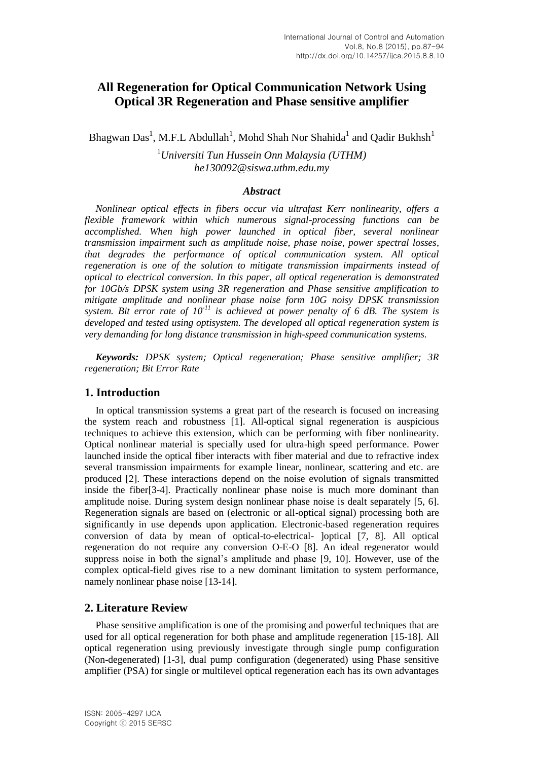# **All Regeneration for Optical Communication Network Using Optical 3R Regeneration and Phase sensitive amplifier**

Bhagwan Das<sup>1</sup>, M.F.L Abdullah<sup>1</sup>, [Mohd Shah](http://www.uthm.edu.my/) Nor Shahida<sup>1</sup> and Qadir Bukhsh<sup>1</sup>

<sup>1</sup>*Universiti Tun Hussein Onn Malaysia (UTHM) [he130092@siswa.uthm.edu.my](mailto:he130092@siswa.uthm.edu.my)*

#### *Abstract*

*Nonlinear optical effects in fibers occur via ultrafast Kerr nonlinearity, offers a flexible framework within which numerous signal-processing functions can be accomplished. When high power launched in optical fiber, several nonlinear transmission impairment such as amplitude noise, phase noise, power spectral losses, that degrades the performance of optical communication system. All optical regeneration is one of the solution to mitigate transmission impairments instead of optical to electrical conversion. In this paper, all optical regeneration is demonstrated for 10Gb/s DPSK system using 3R regeneration and Phase sensitive amplification to mitigate amplitude and nonlinear phase noise form 10G noisy DPSK transmission system. Bit error rate of*  $10^{-11}$  *is achieved at power penalty of 6 dB. The system is developed and tested using optisystem. The developed all optical regeneration system is very demanding for long distance transmission in high-speed communication systems.* 

*Keywords: DPSK system; Optical regeneration; Phase sensitive amplifier; 3R regeneration; Bit Error Rate*

### **1. Introduction**

In optical transmission systems a great part of the research is focused on increasing the system reach and robustness [1]. All-optical signal regeneration is auspicious techniques to achieve this extension, which can be performing with fiber nonlinearity. Optical nonlinear material is specially used for ultra-high speed performance. Power launched inside the optical fiber interacts with fiber material and due to refractive index several transmission impairments for example linear, nonlinear, scattering and etc. are produced [2]. These interactions depend on the noise evolution of signals transmitted inside the fiber[3-4]. Practically nonlinear phase noise is much more dominant than amplitude noise. During system design nonlinear phase noise is dealt separately [5, 6]. Regeneration signals are based on (electronic or all-optical signal) processing both are significantly in use depends upon application. Electronic-based regeneration requires conversion of data by mean of optical-to-electrical- ]optical [7, 8]. All optical regeneration do not require any conversion O-E-O [8]. An ideal regenerator would suppress noise in both the signal's amplitude and phase [9, 10]. However, use of the complex optical-field gives rise to a new dominant limitation to system performance, namely nonlinear phase noise [13-14].

## **2. Literature Review**

Phase sensitive amplification is one of the promising and powerful techniques that are used for all optical regeneration for both phase and amplitude regeneration [15-18]. All optical regeneration using previously investigate through single pump configuration (Non-degenerated) [1-3], dual pump configuration (degenerated) using Phase sensitive amplifier (PSA) for single or multilevel optical regeneration each has its own advantages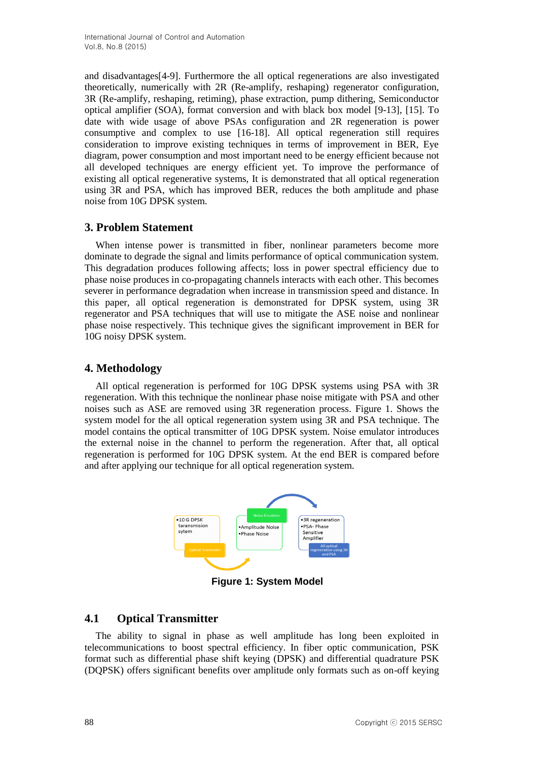and disadvantages[4-9]. Furthermore the all optical regenerations are also investigated theoretically, numerically with 2R (Re-amplify, reshaping) regenerator configuration, 3R (Re-amplify, reshaping, retiming), phase extraction, pump dithering, Semiconductor optical amplifier (SOA), format conversion and with black box model [9-13], [15]. To date with wide usage of above PSAs configuration and 2R regeneration is power consumptive and complex to use [16-18]. All optical regeneration still requires consideration to improve existing techniques in terms of improvement in BER, Eye diagram, power consumption and most important need to be energy efficient because not all developed techniques are energy efficient yet. To improve the performance of existing all optical regenerative systems, It is demonstrated that all optical regeneration using 3R and PSA, which has improved BER, reduces the both amplitude and phase noise from 10G DPSK system.

# **3. Problem Statement**

When intense power is transmitted in fiber, nonlinear parameters become more dominate to degrade the signal and limits performance of optical communication system. This degradation produces following affects; loss in power spectral efficiency due to phase noise produces in co-propagating channels interacts with each other. This becomes severer in performance degradation when increase in transmission speed and distance. In this paper, all optical regeneration is demonstrated for DPSK system, using 3R regenerator and PSA techniques that will use to mitigate the ASE noise and nonlinear phase noise respectively. This technique gives the significant improvement in BER for 10G noisy DPSK system.

# **4. Methodology**

All optical regeneration is performed for 10G DPSK systems using PSA with 3R regeneration. With this technique the nonlinear phase noise mitigate with PSA and other noises such as ASE are removed using 3R regeneration process. Figure 1. Shows the system model for the all optical regeneration system using 3R and PSA technique. The model contains the optical transmitter of 10G DPSK system. Noise emulator introduces the external noise in the channel to perform the regeneration. After that, all optical regeneration is performed for 10G DPSK system. At the end BER is compared before and after applying our technique for all optical regeneration system.



**Figure 1: System Model**

# **4.1 Optical Transmitter**

The ability to signal in phase as well amplitude has long been exploited in telecommunications to boost spectral efficiency. In fiber optic communication, PSK format such as differential phase shift keying (DPSK) and differential quadrature PSK (DQPSK) offers significant benefits over amplitude only formats such as on-off keying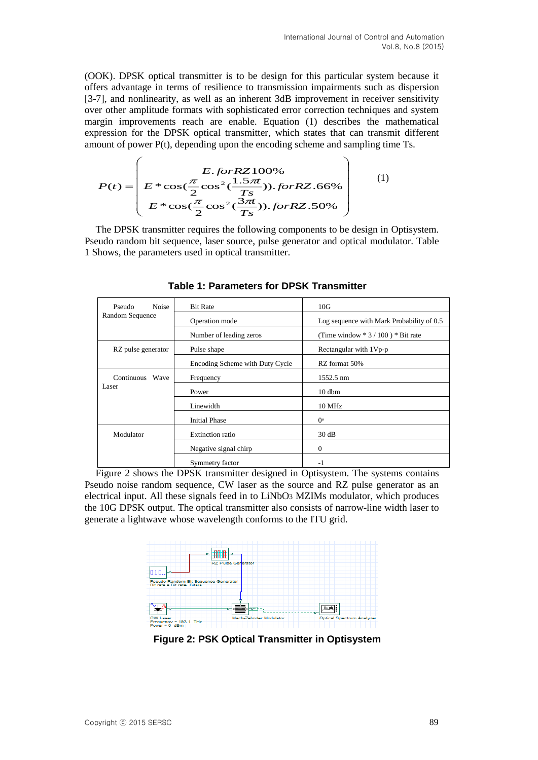(OOK). DPSK optical transmitter is to be design for this particular system because it offers advantage in terms of resilience to transmission impairments such as dispersion [3-7], and nonlinearity, as well as an inherent 3dB improvement in receiver sensitivity over other amplitude formats with sophisticated error correction techniques and system margin improvements reach are enable. Equation (1) describes the mathematical expression for the DPSK optical transmitter, which states that can transmit different amount of power P(t), depending upon the encoding scheme and sampling time Ts.

$$
P(t) = \begin{pmatrix} E \cdot \text{for } RZ100\% \\ E \cdot \cos(\frac{\pi}{2}\cos^2(\frac{1.5\pi}{Ts})). \text{for } RZ.66\% \\ E \cdot \cos(\frac{\pi}{2}\cos^2(\frac{3\pi}{Ts})). \text{for } RZ.50\% \end{pmatrix}
$$
 (1)

The DPSK transmitter requires the following components to be design in Optisystem. Pseudo random bit sequence, laser source, pulse generator and optical modulator. Table 1 Shows, the parameters used in optical transmitter.

| Noise<br>Pseudo<br>Random Sequence | <b>Bit Rate</b>                 | 10G                                       |
|------------------------------------|---------------------------------|-------------------------------------------|
|                                    | Operation mode                  | Log sequence with Mark Probability of 0.5 |
|                                    | Number of leading zeros         | (Time window $* 3 / 100$ ) $*$ Bit rate   |
| RZ pulse generator                 | Pulse shape                     | Rectangular with 1Vp-p                    |
|                                    | Encoding Scheme with Duty Cycle | RZ format 50%                             |
| Continuous Wave<br>Laser           | Frequency                       | 1552.5 nm                                 |
|                                    | Power                           | $10$ dbm                                  |
|                                    | Linewidth                       | 10 MHz                                    |
|                                    | <b>Initial Phase</b>            | $0^{\circ}$                               |
| Modulator                          | <b>Extinction</b> ratio         | 30 dB                                     |
|                                    | Negative signal chirp           | $\Omega$                                  |
|                                    | Symmetry factor                 | $-1$                                      |

**Table 1: Parameters for DPSK Transmitter**

Figure 2 shows the DPSK transmitter designed in Optisystem. The systems contains Pseudo noise random sequence, CW laser as the source and RZ pulse generator as an electrical input. All these signals feed in to LiNbO3 MZIMs modulator, which produces the 10G DPSK output. The optical transmitter also consists of narrow-line width laser to generate a lightwave whose wavelength conforms to the ITU grid.



**Figure 2: PSK Optical Transmitter in Optisystem**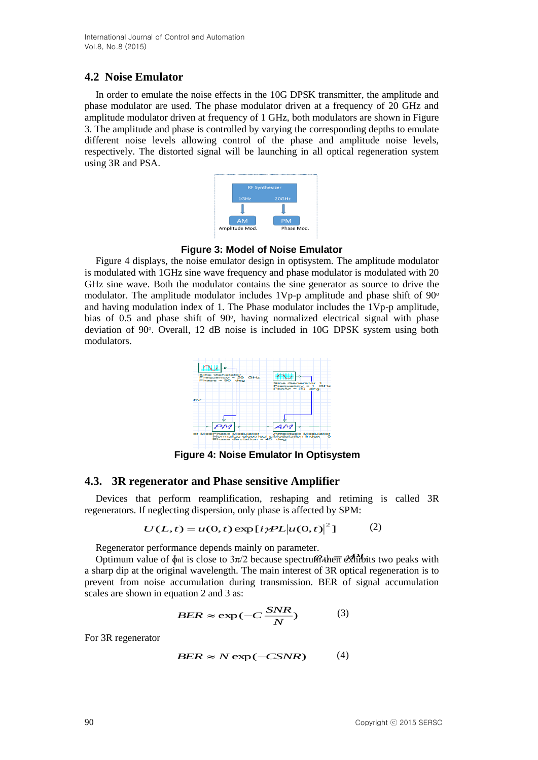## **4.2 Noise Emulator**

In order to emulate the noise effects in the 10G DPSK transmitter, the amplitude and phase modulator are used. The phase modulator driven at a frequency of 20 GHz and amplitude modulator driven at frequency of 1 GHz, both modulators are shown in Figure 3. The amplitude and phase is controlled by varying the corresponding depths to emulate different noise levels allowing control of the phase and amplitude noise levels, respectively. The distorted signal will be launching in all optical regeneration system using 3R and PSA.



**Figure 3: Model of Noise Emulator**

Figure 4 displays, the noise emulator design in optisystem. The amplitude modulator is modulated with 1GHz sine wave frequency and phase modulator is modulated with 20 GHz sine wave. Both the modulator contains the sine generator as source to drive the modulator. The amplitude modulator includes  $1Vp-p$  amplitude and phase shift of  $90^{\circ}$ and having modulation index of 1. The Phase modulator includes the 1Vp-p amplitude, bias of 0.5 and phase shift of  $90^\circ$ , having normalized electrical signal with phase deviation of 90ᵒ. Overall, 12 dB noise is included in 10G DPSK system using both modulators.



**Figure 4: Noise Emulator In Optisystem**

## **4.3. 3R regenerator and Phase sensitive Amplifier**

Devices that perform reamplification, reshaping and retiming is called 3R regenerators. If neglecting dispersion, only phase is affected by SPM:

$$
U(L,t) = u(0,t) \exp[i\gamma PL|u(0,t)|^{2}]
$$
 (2)

Regenerator performance depends mainly on parameter.

Optimum value of φ<sub>nl</sub> is close to  $3\pi/2$  because spectrum the exercise two peaks with a sharp dip at the original wavelength. The main interest of 3R optical regeneration is to prevent from noise accumulation during transmission. BER of signal accumulation scales are shown in equation 2 and 3 as:

$$
BER \approx \exp(-C\frac{SNR}{N})\tag{3}
$$

For 3R regenerator

$$
BER \approx N \exp(-CSNR) \tag{4}
$$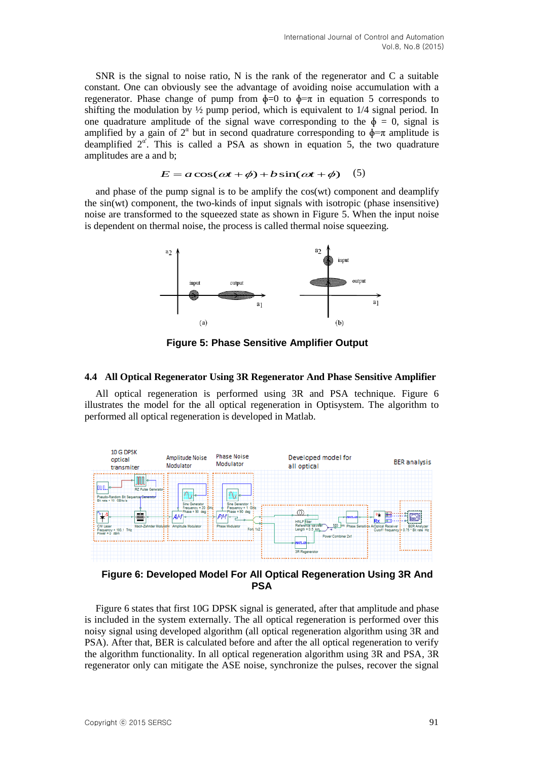SNR is the signal to noise ratio, N is the rank of the regenerator and C a suitable constant. One can obviously see the advantage of avoiding noise accumulation with a regenerator. Phase change of pump from  $\phi=0$  to  $\phi=\pi$  in equation 5 corresponds to shifting the modulation by  $\frac{1}{2}$  pump period, which is equivalent to 1/4 signal period. In one quadrature amplitude of the signal wave corresponding to the  $\phi = 0$ , signal is amplified by a gain of  $2^{\alpha}$  but in second quadrature corresponding to  $\dot{\phi} = \pi$  amplitude is deamplified  $2^{\alpha}$ . This is called a PSA as shown in equation 5, the two quadrature amplitudes are a and b;

$$
E = a\cos(\omega t + \phi) + b\sin(\omega t + \phi) \quad (5)
$$

and phase of the pump signal is to be amplify the cos(wt) component and deamplify the sin(wt) component, the two-kinds of input signals with isotropic (phase insensitive) noise are transformed to the squeezed state as shown in Figure 5. When the input noise is dependent on thermal noise, the process is called thermal noise squeezing.



**Figure 5: Phase Sensitive Amplifier Output**

### **4.4 All Optical Regenerator Using 3R Regenerator And Phase Sensitive Amplifier**

All optical regeneration is performed using 3R and PSA technique. Figure 6 illustrates the model for the all optical regeneration in Optisystem. The algorithm to performed all optical regeneration is developed in Matlab.



**Figure 6: Developed Model For All Optical Regeneration Using 3R And PSA**

Figure 6 states that first 10G DPSK signal is generated, after that amplitude and phase is included in the system externally. The all optical regeneration is performed over this noisy signal using developed algorithm (all optical regeneration algorithm using 3R and PSA). After that, BER is calculated before and after the all optical regeneration to verify the algorithm functionality. In all optical regeneration algorithm using 3R and PSA, 3R regenerator only can mitigate the ASE noise, synchronize the pulses, recover the signal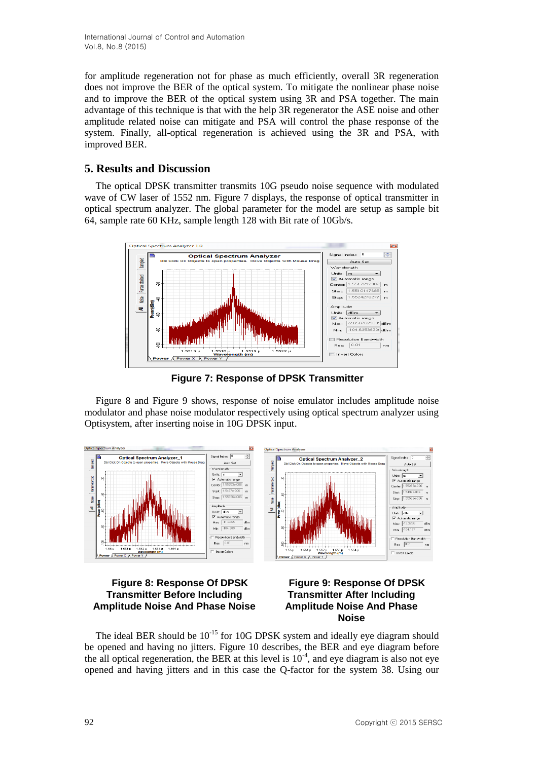International Journal of Control and Automation Vol.8, No.8 (2015)

for amplitude regeneration not for phase as much efficiently, overall 3R regeneration does not improve the BER of the optical system. To mitigate the nonlinear phase noise and to improve the BER of the optical system using 3R and PSA together. The main advantage of this technique is that with the help 3R regenerator the ASE noise and other amplitude related noise can mitigate and PSA will control the phase response of the system. Finally, all-optical regeneration is achieved using the 3R and PSA, with improved BER.

## **5. Results and Discussion**

The optical DPSK transmitter transmits 10G pseudo noise sequence with modulated wave of CW laser of 1552 nm. Figure 7 displays, the response of optical transmitter in optical spectrum analyzer. The global parameter for the model are setup as sample bit 64, sample rate 60 KHz, sample length 128 with Bit rate of 10Gb/s.



**Figure 7: Response of DPSK Transmitter**

Figure 8 and Figure 9 shows, response of noise emulator includes amplitude noise modulator and phase noise modulator respectively using optical spectrum analyzer using Optisystem, after inserting noise in 10G DPSK input.



## **Figure 8: Response Of DPSK Transmitter Before Including Amplitude Noise And Phase Noise**



The ideal BER should be 10<sup>-15</sup> for 10G DPSK system and ideally eye diagram should be opened and having no jitters. Figure 10 describes, the BER and eye diagram before the all optical regeneration, the BER at this level is  $10^{-4}$ , and eye diagram is also not eye opened and having jitters and in this case the Q-factor for the system 38. Using our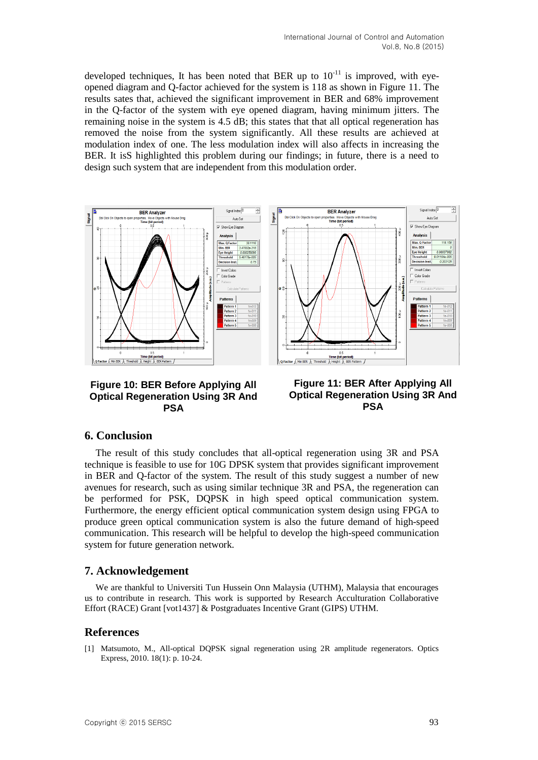developed techniques, It has been noted that BER up to  $10^{-11}$  is improved, with eyeopened diagram and Q-factor achieved for the system is 118 as shown in Figure 11. The results sates that, achieved the significant improvement in BER and 68% improvement in the Q-factor of the system with eye opened diagram, having minimum jitters. The remaining noise in the system is 4.5 dB; this states that that all optical regeneration has removed the noise from the system significantly. All these results are achieved at modulation index of one. The less modulation index will also affects in increasing the BER. It isS highlighted this problem during our findings; in future, there is a need to design such system that are independent from this modulation order.



**Figure 10: BER Before Applying All Optical Regeneration Using 3R And PSA** 

**Figure 11: BER After Applying All Optical Regeneration Using 3R And PSA** 

## **6. Conclusion**

The result of this study concludes that all-optical regeneration using 3R and PSA technique is feasible to use for 10G DPSK system that provides significant improvement in BER and Q-factor of the system. The result of this study suggest a number of new avenues for research, such as using similar technique 3R and PSA, the regeneration can be performed for PSK, DQPSK in high speed optical communication system. Furthermore, the energy efficient optical communication system design using FPGA to produce green optical communication system is also the future demand of high-speed communication. This research will be helpful to develop the high-speed communication system for future generation network.

## **7. Acknowledgement**

We are thankful to Universiti Tun Hussein Onn Malaysia (UTHM), Malaysia that encourages us to contribute in research. This work is supported by Research Acculturation Collaborative Effort (RACE) Grant [vot1437] & Postgraduates Incentive Grant (GIPS) UTHM.

### **References**

[1] Matsumoto, M., All-optical DQPSK signal regeneration using 2R amplitude regenerators. Optics Express, 2010. 18(1): p. 10-24.